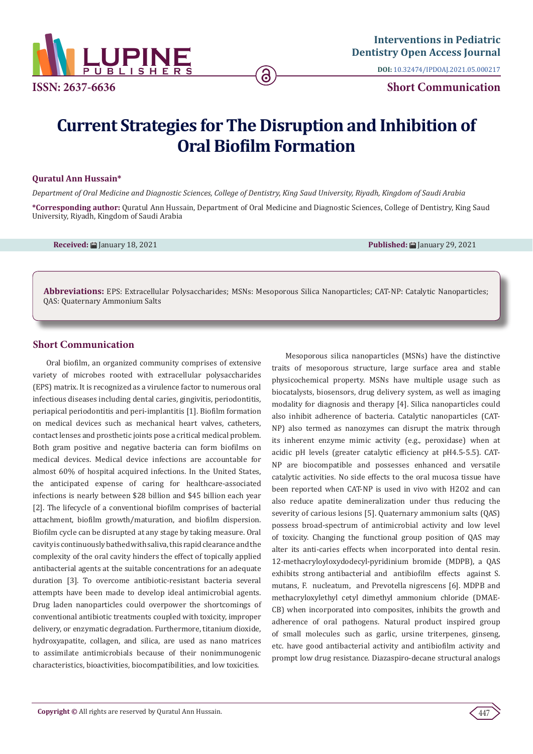

**DOI:** [10.32474/IPDOAJ.2021.05.000217](http://dx.doi.org/10.32474/IPDOAJ.2021.05.000217)

# **Current Strategies for The Disruption and Inhibition of Oral Biofilm Formation**

ခ

### **Quratul Ann Hussain\***

*Department of Oral Medicine and Diagnostic Sciences, College of Dentistry, King Saud University, Riyadh, Kingdom of Saudi Arabia*

**\*Corresponding author:** Quratul Ann Hussain, Department of Oral Medicine and Diagnostic Sciences, College of Dentistry, King Saud University, Riyadh, Kingdom of Saudi Arabia

**Received:** January 18, 2021 **Published:** January 29, 2021

**Abbreviations:** EPS: Extracellular Polysaccharides; MSNs: Mesoporous Silica Nanoparticles; CAT-NP: Catalytic Nanoparticles; QAS: Quaternary Ammonium Salts

# **Short Communication**

Oral biofilm, an organized community comprises of extensive variety of microbes rooted with extracellular polysaccharides (EPS) matrix. It is recognized as a virulence factor to numerous oral infectious diseases including dental caries, gingivitis, periodontitis, periapical periodontitis and peri-implantitis [1]. Biofilm formation on medical devices such as mechanical heart valves, catheters, contact lenses and prosthetic joints pose a critical medical problem. Both gram positive and negative bacteria can form biofilms on medical devices. Medical device infections are accountable for almost 60% of hospital acquired infections. In the United States, the anticipated expense of caring for healthcare-associated infections is nearly between \$28 billion and \$45 billion each year [2]. The lifecycle of a conventional biofilm comprises of bacterial attachment, biofilm growth/maturation, and biofilm dispersion. Biofilm cycle can be disrupted at any stage by taking measure. Oral cavity is continuously bathed with saliva, this rapid clearance and the complexity of the oral cavity hinders the effect of topically applied antibacterial agents at the suitable concentrations for an adequate duration [3]. To overcome antibiotic-resistant bacteria several attempts have been made to develop ideal antimicrobial agents. Drug laden nanoparticles could overpower the shortcomings of conventional antibiotic treatments coupled with toxicity, improper delivery, or enzymatic degradation. Furthermore, titanium dioxide, hydroxyapatite, collagen, and silica, are used as nano matrices to assimilate antimicrobials because of their nonimmunogenic characteristics, bioactivities, biocompatibilities, and low toxicities.

Mesoporous silica nanoparticles (MSNs) have the distinctive traits of mesoporous structure, large surface area and stable physicochemical property. MSNs have multiple usage such as biocatalysts, biosensors, drug delivery system, as well as imaging modality for diagnosis and therapy [4]. Silica nanoparticles could also inhibit adherence of bacteria. Catalytic nanoparticles (CAT-NP) also termed as nanozymes can disrupt the matrix through its inherent enzyme mimic activity (e.g., peroxidase) when at acidic pH levels (greater catalytic efficiency at pH4.5-5.5). CAT-NP are biocompatible and possesses enhanced and versatile catalytic activities. No side effects to the oral mucosa tissue have been reported when CAT-NP is used in vivo with H2O2 and can also reduce apatite demineralization under thus reducing the severity of carious lesions [5]. Quaternary ammonium salts (QAS) possess broad-spectrum of antimicrobial activity and low level of toxicity. Changing the functional group position of QAS may alter its anti-caries effects when incorporated into dental resin. 12-methacryloyloxydodecyl-pyridinium bromide (MDPB), a QAS exhibits strong antibacterial and antibiofilm effects against S. mutans, F. nucleatum, and Prevotella nigrescens [6]. MDPB and methacryloxylethyl cetyl dimethyl ammonium chloride (DMAE-CB) when incorporated into composites, inhibits the growth and adherence of oral pathogens. Natural product inspired group of small molecules such as garlic, ursine triterpenes, ginseng, etc. have good antibacterial activity and antibiofilm activity and prompt low drug resistance. Diazaspiro-decane structural analogs